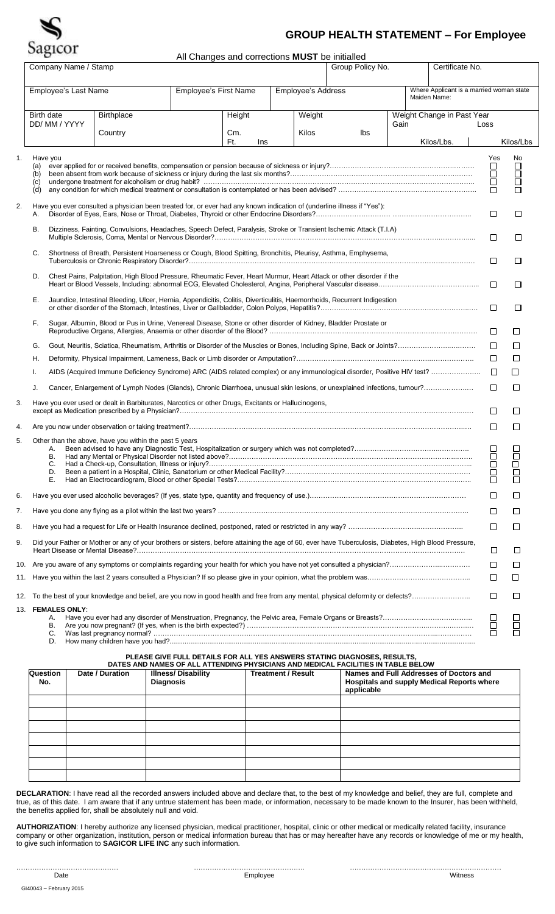

## **GROUP HEALTH STATEMENT – For Employee**

All Changes and corrections **MUST** be initialled

|    |                                           | Company Name / Stamp<br>Group Policy No.<br>Certificate No.                                                                                          |  |            |                                             |       |     |      |              |                                          |             |           |  |
|----|-------------------------------------------|------------------------------------------------------------------------------------------------------------------------------------------------------|--|------------|---------------------------------------------|-------|-----|------|--------------|------------------------------------------|-------------|-----------|--|
|    | Employee's Last Name                      |                                                                                                                                                      |  |            | Employee's First Name<br>Employee's Address |       |     |      |              | Where Applicant is a married woman state |             |           |  |
|    |                                           |                                                                                                                                                      |  |            |                                             |       |     |      | Maiden Name: |                                          |             |           |  |
|    | Birth date                                | <b>Birthplace</b><br>Height<br>Weight                                                                                                                |  |            |                                             |       |     |      |              | Weight Change in Past Year               |             |           |  |
|    | DD/ MM / YYYY                             | Country                                                                                                                                              |  | Cm.        |                                             | Kilos | Ibs | Gain |              |                                          | Loss        |           |  |
|    |                                           |                                                                                                                                                      |  | Ft.<br>Ins |                                             |       |     |      |              | Kilos/Lbs.                               |             | Kilos/Lbs |  |
| 1. | Have you                                  |                                                                                                                                                      |  |            |                                             |       |     |      |              |                                          | Yes         | No        |  |
|    | (a)<br>(b)                                |                                                                                                                                                      |  |            |                                             |       |     |      |              |                                          | ப<br>Ō      | $\Box$    |  |
|    | (c)<br>(d)                                |                                                                                                                                                      |  |            |                                             |       |     |      |              |                                          | $\Box$<br>□ | ō<br>П    |  |
|    |                                           |                                                                                                                                                      |  |            |                                             |       |     |      |              |                                          |             |           |  |
| 2. | Α.                                        | Have you ever consulted a physician been treated for, or ever had any known indication of (underline illness if "Yes"):                              |  |            |                                             |       |     |      |              |                                          | $\Box$      | $\Box$    |  |
|    | В.                                        | Dizziness, Fainting, Convulsions, Headaches, Speech Defect, Paralysis, Stroke or Transient Ischemic Attack (T.I.A)                                   |  |            |                                             |       |     |      |              |                                          | □           | □         |  |
|    | C.                                        | Shortness of Breath, Persistent Hoarseness or Cough, Blood Spitting, Bronchitis, Pleurisy, Asthma, Emphysema,                                        |  |            |                                             |       |     |      |              |                                          | □           | □         |  |
|    | D.                                        | Chest Pains, Palpitation, High Blood Pressure, Rheumatic Fever, Heart Murmur, Heart Attack or other disorder if the                                  |  |            |                                             |       |     |      |              |                                          |             |           |  |
|    |                                           |                                                                                                                                                      |  |            |                                             |       |     |      |              |                                          | $\Box$      | □         |  |
|    | Е.                                        | Jaundice, Intestinal Bleeding, Ulcer, Hernia, Appendicitis, Colitis, Diverticulitis, Haemorrhoids, Recurrent Indigestion                             |  |            |                                             |       |     |      |              |                                          | $\Box$      | $\Box$    |  |
|    | F.                                        | Sugar, Albumin, Blood or Pus in Urine, Venereal Disease, Stone or other disorder of Kidney, Bladder Prostate or                                      |  |            |                                             |       |     |      |              |                                          | $\Box$      | □         |  |
|    | G.                                        |                                                                                                                                                      |  |            |                                             |       |     |      |              |                                          | □           | $\Box$    |  |
|    | Η.                                        |                                                                                                                                                      |  |            |                                             |       |     |      |              |                                          | $\Box$      | $\Box$    |  |
|    | Τ.                                        |                                                                                                                                                      |  |            |                                             |       |     |      |              |                                          | $\Box$      | $\Box$    |  |
|    | J.                                        | Cancer, Enlargement of Lymph Nodes (Glands), Chronic Diarrhoea, unusual skin lesions, or unexplained infections, tumour?                             |  |            |                                             |       |     |      |              |                                          | □           | $\Box$    |  |
| 3. |                                           | Have you ever used or dealt in Barbiturates, Narcotics or other Drugs, Excitants or Hallucinogens,                                                   |  |            |                                             |       |     |      |              |                                          | $\Box$      | □         |  |
| 4. |                                           |                                                                                                                                                      |  |            |                                             |       |     |      |              |                                          | □           | □         |  |
| 5. |                                           | Other than the above, have you within the past 5 years                                                                                               |  |            |                                             |       |     |      |              |                                          |             |           |  |
|    | А.<br>В.                                  |                                                                                                                                                      |  |            |                                             |       |     |      |              |                                          | $\Box$      | □         |  |
|    | C.<br>D.                                  |                                                                                                                                                      |  |            |                                             |       |     |      |              |                                          | $\Box$      | П         |  |
|    | Е.                                        |                                                                                                                                                      |  |            |                                             |       |     |      |              |                                          | П           | П         |  |
| 6. |                                           |                                                                                                                                                      |  |            |                                             |       |     |      |              |                                          | ப           | ⊔         |  |
| 7. |                                           |                                                                                                                                                      |  |            |                                             |       |     |      |              |                                          | □           | □         |  |
| 8. |                                           |                                                                                                                                                      |  |            |                                             |       |     |      |              |                                          | □           | □         |  |
| 9. |                                           | Did your Father or Mother or any of your brothers or sisters, before attaining the age of 60, ever have Tuberculosis, Diabetes, High Blood Pressure, |  |            |                                             |       |     |      |              |                                          | □           | □         |  |
|    |                                           |                                                                                                                                                      |  |            |                                             |       |     |      |              |                                          | □           | $\Box$    |  |
|    |                                           |                                                                                                                                                      |  |            |                                             |       |     |      |              |                                          | □           | $\Box$    |  |
|    |                                           |                                                                                                                                                      |  |            |                                             |       |     |      |              |                                          | $\Box$      | $\Box$    |  |
|    | 13. FEMALES ONLY:<br>А.<br>В.<br>C.<br>D. |                                                                                                                                                      |  |            |                                             |       |     |      |              |                                          | $\Box$<br>□ | П         |  |

**PLEASE GIVE FULL DETAILS FOR ALL YES ANSWERS STATING DIAGNOSES, RESULTS,**

|                 | DATES AND NAMES OF ALL ATTENDING PHYSICIANS AND MEDICAL FACILITIES IN TABLE BELOW |                                               |                           |                                                                                                     |  |  |  |  |  |  |  |  |
|-----------------|-----------------------------------------------------------------------------------|-----------------------------------------------|---------------------------|-----------------------------------------------------------------------------------------------------|--|--|--|--|--|--|--|--|
| Question<br>No. | Date / Duration                                                                   | <b>Illness/Disability</b><br><b>Diagnosis</b> | <b>Treatment / Result</b> | Names and Full Addresses of Doctors and<br>Hospitals and supply Medical Reports where<br>applicable |  |  |  |  |  |  |  |  |
|                 |                                                                                   |                                               |                           |                                                                                                     |  |  |  |  |  |  |  |  |
|                 |                                                                                   |                                               |                           |                                                                                                     |  |  |  |  |  |  |  |  |
|                 |                                                                                   |                                               |                           |                                                                                                     |  |  |  |  |  |  |  |  |
|                 |                                                                                   |                                               |                           |                                                                                                     |  |  |  |  |  |  |  |  |
|                 |                                                                                   |                                               |                           |                                                                                                     |  |  |  |  |  |  |  |  |
|                 |                                                                                   |                                               |                           |                                                                                                     |  |  |  |  |  |  |  |  |
|                 |                                                                                   |                                               |                           |                                                                                                     |  |  |  |  |  |  |  |  |

**DECLARATION**: I have read all the recorded answers included above and declare that, to the best of my knowledge and belief, they are full, complete and true, as of this date. I am aware that if any untrue statement has been made, or information, necessary to be made known to the Insurer, has been withheld, the benefits applied for, shall be absolutely null and void.

**AUTHORIZATION**: I hereby authorize any licensed physician, medical practitioner, hospital, clinic or other medical or medically related facility, insurance company or other organization, institution, person or medical information bureau that has or may hereafter have any records or knowledge of me or my health, to give such information to **SAGICOR LIFE INC** any such information.